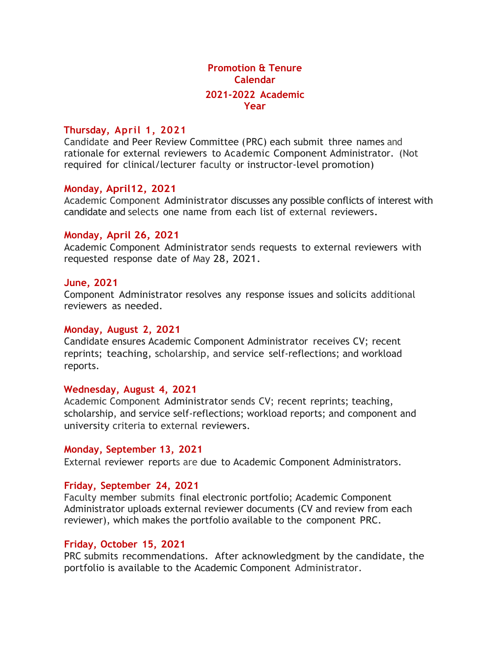# **Promotion & Tenure Calendar 2021-2022 Academic Year**

# **Thursday, April 1, 2021**

Candidate and Peer Review Committee (PRC) each submit three names and rationale for external reviewers to Academic Component Administrator. (Not required for clinical/lecturer faculty or instructor-level promotion)

### **Monday, April12, 2021**

Academic Component Administrator discusses any possible conflicts of interest with candidate and selects one name from each list of external reviewers.

### **Monday, April 26, 2021**

Academic Component Administrator sends requests to external reviewers with requested response date of May 28, 2021.

#### **June, 2021**

Component Administrator resolves any response issues and solicits additional reviewers as needed.

#### **Monday, August 2, 2021**

Candidate ensures Academic Component Administrator receives CV; recent reprints; teaching, scholarship, and service self-reflections; and workload reports.

### **Wednesday, August 4, 2021**

Academic Component Administrator sends CV; recent reprints; teaching, scholarship, and service self-reflections; workload reports; and component and university criteria to external reviewers.

### **Monday, September 13, 2021**

External reviewer reports are due to Academic Component Administrators.

### **Friday, September 24, 2021**

Faculty member submits final electronic portfolio; Academic Component Administrator uploads external reviewer documents (CV and review from each reviewer), which makes the portfolio available to the component PRC.

### **Friday, October 15, 2021**

PRC submits recommendations. After acknowledgment by the candidate, the portfolio is available to the Academic Component Administrator.